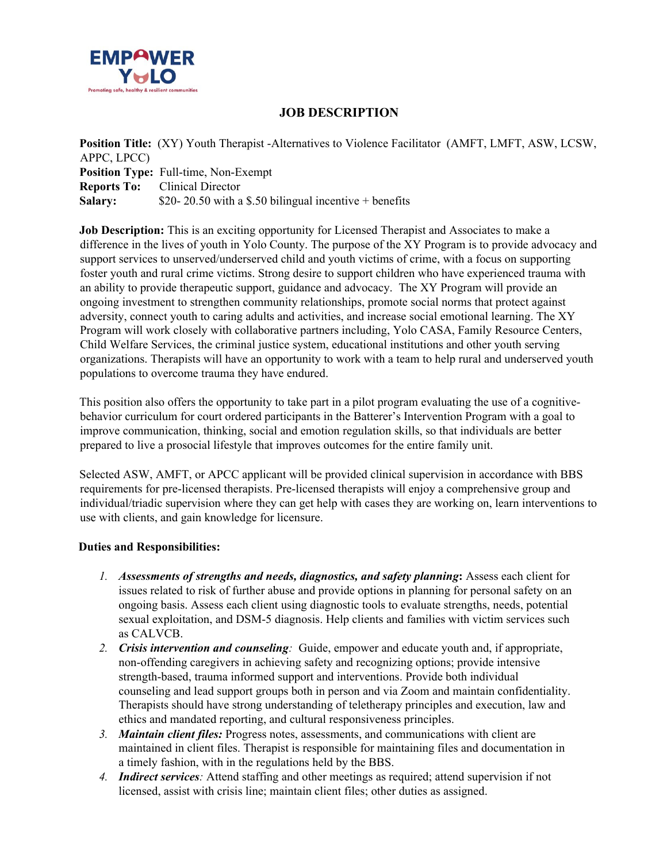

## **JOB DESCRIPTION**

**Position Title:** (XY) Youth Therapist -Alternatives to Violence Facilitator (AMFT, LMFT, ASW, LCSW, APPC, LPCC) **Position Type:** Full-time, Non-Exempt **Reports To:** Clinical Director **Salary:** \$20- 20.50 with a \$.50 bilingual incentive + benefits

**Job Description:** This is an exciting opportunity for Licensed Therapist and Associates to make a difference in the lives of youth in Yolo County. The purpose of the XY Program is to provide advocacy and support services to unserved/underserved child and youth victims of crime, with a focus on supporting foster youth and rural crime victims. Strong desire to support children who have experienced trauma with an ability to provide therapeutic support, guidance and advocacy. The XY Program will provide an ongoing investment to strengthen community relationships, promote social norms that protect against adversity, connect youth to caring adults and activities, and increase social emotional learning. The XY Program will work closely with collaborative partners including, Yolo CASA, Family Resource Centers, Child Welfare Services, the criminal justice system, educational institutions and other youth serving organizations. Therapists will have an opportunity to work with a team to help rural and underserved youth populations to overcome trauma they have endured.

This position also offers the opportunity to take part in a pilot program evaluating the use of a cognitivebehavior curriculum for court ordered participants in the Batterer's Intervention Program with a goal to improve communication, thinking, social and emotion regulation skills, so that individuals are better prepared to live a prosocial lifestyle that improves outcomes for the entire family unit.

Selected ASW, AMFT, or APCC applicant will be provided clinical supervision in accordance with BBS requirements for pre-licensed therapists. Pre-licensed therapists will enjoy a comprehensive group and individual/triadic supervision where they can get help with cases they are working on, learn interventions to use with clients, and gain knowledge for licensure.

#### **Duties and Responsibilities:**

- *1. Assessments of strengths and needs, diagnostics, and safety planning***:** Assess each client for issues related to risk of further abuse and provide options in planning for personal safety on an ongoing basis. Assess each client using diagnostic tools to evaluate strengths, needs, potential sexual exploitation, and DSM-5 diagnosis. Help clients and families with victim services such as CALVCB.
- *2. Crisis intervention and counseling:* Guide, empower and educate youth and, if appropriate, non-offending caregivers in achieving safety and recognizing options; provide intensive strength-based, trauma informed support and interventions. Provide both individual counseling and lead support groups both in person and via Zoom and maintain confidentiality. Therapists should have strong understanding of teletherapy principles and execution, law and ethics and mandated reporting, and cultural responsiveness principles.
- *3. Maintain client files:* Progress notes, assessments, and communications with client are maintained in client files. Therapist is responsible for maintaining files and documentation in a timely fashion, with in the regulations held by the BBS.
- *4. Indirect services:* Attend staffing and other meetings as required; attend supervision if not licensed, assist with crisis line; maintain client files; other duties as assigned.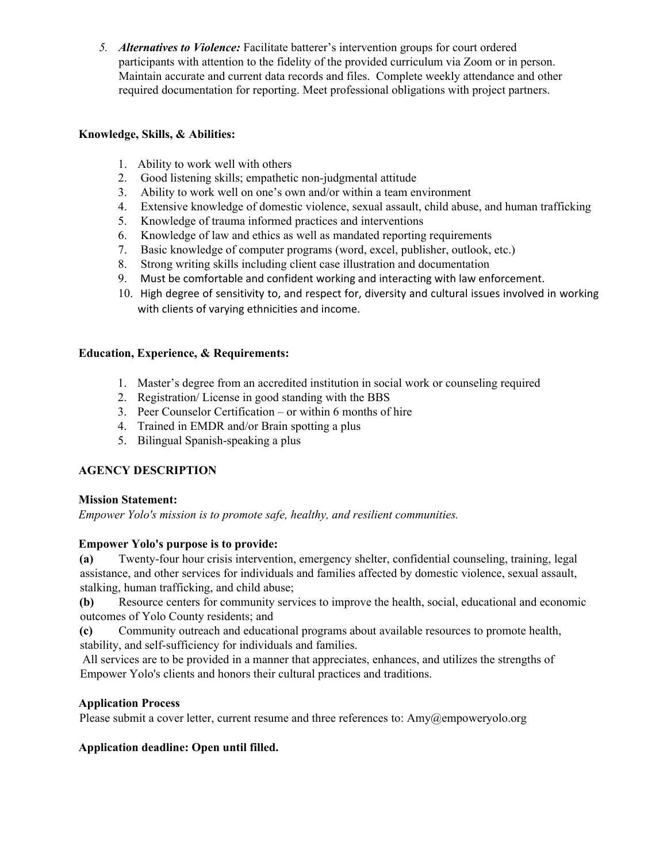*5. Alternatives to Violence:* Facilitate batterer's intervention groups for court ordered participants with attention to the fidelity of the provided curriculum via Zoom or in person. Maintain accurate and current data records and files. Complete weekly attendance and other required documentation for reporting. Meet professional obligations with project partners.

#### **Knowledge, Skills, & Abilities:**

- 1. Ability to work well with others
- 2. Good listening skills; empathetic non-judgmental attitude
- 3. Ability to work well on one's own and/or within a team environment
- 4. Extensive knowledge of domestic violence, sexual assault, child abuse, and human trafficking
- 5. Knowledge of trauma informed practices and interventions
- 6. Knowledge of law and ethics as well as mandated reporting requirements
- 7. Basic knowledge of computer programs (word, excel, publisher, outlook, etc.)
- 8. Strong writing skills including client case illustration and documentation
- 9. Must be comfortable and confident working and interacting with law enforcement.
- 10. High degree of sensitivity to, and respect for, diversity and cultural issues involved in working with clients of varying ethnicities and income.

### **Education, Experience, & Requirements:**

- 1. Master's degree from an accredited institution in social work or counseling required
- 2. Registration/ License in good standing with the BBS
- 3. Peer Counselor Certification or within 6 months of hire
- 4. Trained in EMDR and/or Brain spotting a plus
- 5. Bilingual Spanish-speaking a plus

# **AGENCY DESCRIPTION**

### **Mission Statement:**

*Empower Yolo's mission is to promote safe, healthy, and resilient communities.*

### **Empower Yolo's purpose is to provide:**

**(a)** Twenty-four hour crisis intervention, emergency shelter, confidential counseling, training, legal assistance, and other services for individuals and families affected by domestic violence, sexual assault, stalking, human trafficking, and child abuse;

**(b)** Resource centers for community services to improve the health, social, educational and economic outcomes of Yolo County residents; and

**(c)** Community outreach and educational programs about available resources to promote health, stability, and self-sufficiency for individuals and families.

 All services are to be provided in a manner that appreciates, enhances, and utilizes the strengths of Empower Yolo's clients and honors their cultural practices and traditions.

### **Application Process**

Please submit a cover letter, current resume and three references to: Amy@empoweryolo.org

### **Application deadline: Open until filled.**